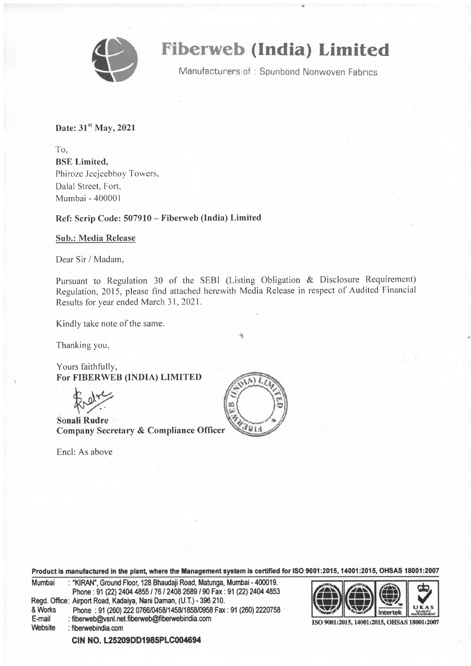

# Fiberweb (India) Limited

Manufacturers of: Spunbond Nonwoven Fabrics

Date:  $31<sup>st</sup>$  May, 2021

To, BSE Limited, Phiroze Jeejeebhoy Towers. Dalal Street, Fort, Mumbai - 400001

Ref: Scrip Code: 507910 - Fiberweb (India) Limited

#### Sub.: Media Release

Dear Sir / Madam,

Pursuant to Regulation 30 of the SEBI (Listing Obligation & Disclosure Requirement) Regulation, 2015, please find attached herewith Media Release in respect of Audited Financial Results for year ended March 31, 2021.

Kindly take note of the same.

Thanking you,

Yours faithfully, FoT FIBERWEB (INDIA) LIMITED

Sonali Rudre Company Secretary & Compliance Officer

Encl: As above



Product is manufactured in the plant, where the Management system is certified for ISO 9001:2015, 14001:2015, OHSAS 18001:2007

| Mumbai  | : "KIRAN", Ground Floor, 128 Bhaudaji Road, Matunga, Mumbai - 400019. |
|---------|-----------------------------------------------------------------------|
|         | Phone: 91 (22) 2404 4855 / 76 / 2408 2689 / 90 Fax: 91 (22) 2404 4853 |
|         | Regd. Office: Airport Road, Kadaiya, Nani Daman, (U.T.) - 396 210.    |
| & Works | Phone: 91 (260) 222 0766/0458/1458/1858/0958 Fax: 91 (260) 2220758    |
| E-mail  | : fiberweb@vsnl.net.fiberweb@fiberwebindia.com                        |
| Website | $:$ fiberwebindia.com                                                 |



ISO 9001:2015, 14001:2015, OHSAS 18001:2007

CIN NO. L25209DD1985PLC004694